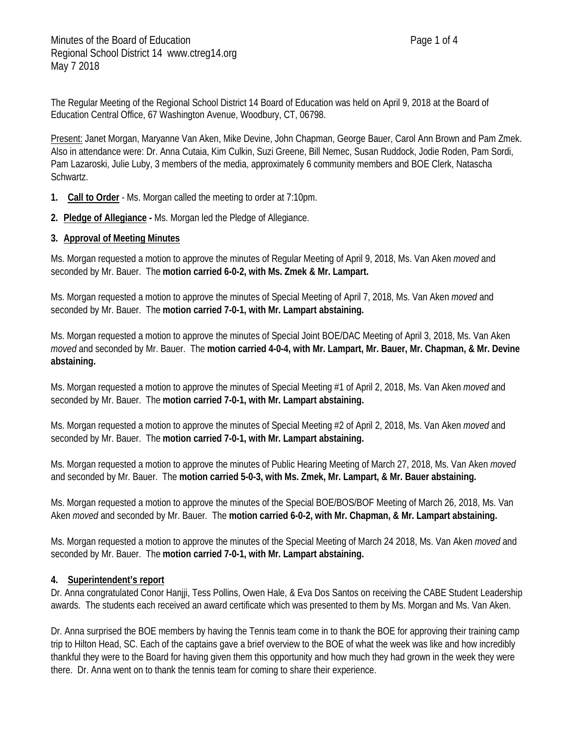The Regular Meeting of the Regional School District 14 Board of Education was held on April 9, 2018 at the Board of Education Central Office, 67 Washington Avenue, Woodbury, CT, 06798.

Present: Janet Morgan, Maryanne Van Aken, Mike Devine, John Chapman, George Bauer, Carol Ann Brown and Pam Zmek. Also in attendance were: Dr. Anna Cutaia, Kim Culkin, Suzi Greene, Bill Nemec, Susan Ruddock, Jodie Roden, Pam Sordi, Pam Lazaroski, Julie Luby, 3 members of the media, approximately 6 community members and BOE Clerk, Natascha Schwartz.

- **1. Call to Order** Ms. Morgan called the meeting to order at 7:10pm.
- **2. Pledge of Allegiance -** Ms. Morgan led the Pledge of Allegiance.
- **3. Approval of Meeting Minutes**

Ms. Morgan requested a motion to approve the minutes of Regular Meeting of April 9, 2018, Ms. Van Aken *moved* and seconded by Mr. Bauer. The **motion carried 6-0-2, with Ms. Zmek & Mr. Lampart.**

Ms. Morgan requested a motion to approve the minutes of Special Meeting of April 7, 2018, Ms. Van Aken *moved* and seconded by Mr. Bauer. The **motion carried 7-0-1, with Mr. Lampart abstaining.**

Ms. Morgan requested a motion to approve the minutes of Special Joint BOE/DAC Meeting of April 3, 2018, Ms. Van Aken *moved* and seconded by Mr. Bauer. The **motion carried 4-0-4, with Mr. Lampart, Mr. Bauer, Mr. Chapman, & Mr. Devine abstaining.**

Ms. Morgan requested a motion to approve the minutes of Special Meeting #1 of April 2, 2018, Ms. Van Aken *moved* and seconded by Mr. Bauer. The **motion carried 7-0-1, with Mr. Lampart abstaining.**

Ms. Morgan requested a motion to approve the minutes of Special Meeting #2 of April 2, 2018, Ms. Van Aken *moved* and seconded by Mr. Bauer. The **motion carried 7-0-1, with Mr. Lampart abstaining.**

Ms. Morgan requested a motion to approve the minutes of Public Hearing Meeting of March 27, 2018, Ms. Van Aken *moved* and seconded by Mr. Bauer. The **motion carried 5-0-3, with Ms. Zmek, Mr. Lampart, & Mr. Bauer abstaining.**

Ms. Morgan requested a motion to approve the minutes of the Special BOE/BOS/BOF Meeting of March 26, 2018, Ms. Van Aken *moved* and seconded by Mr. Bauer. The **motion carried 6-0-2, with Mr. Chapman, & Mr. Lampart abstaining.**

Ms. Morgan requested a motion to approve the minutes of the Special Meeting of March 24 2018, Ms. Van Aken *moved* and seconded by Mr. Bauer. The **motion carried 7-0-1, with Mr. Lampart abstaining.**

# **4. Superintendent's report**

Dr. Anna congratulated Conor Hanjji, Tess Pollins, Owen Hale, & Eva Dos Santos on receiving the CABE Student Leadership awards. The students each received an award certificate which was presented to them by Ms. Morgan and Ms. Van Aken.

Dr. Anna surprised the BOE members by having the Tennis team come in to thank the BOE for approving their training camp trip to Hilton Head, SC. Each of the captains gave a brief overview to the BOE of what the week was like and how incredibly thankful they were to the Board for having given them this opportunity and how much they had grown in the week they were there. Dr. Anna went on to thank the tennis team for coming to share their experience.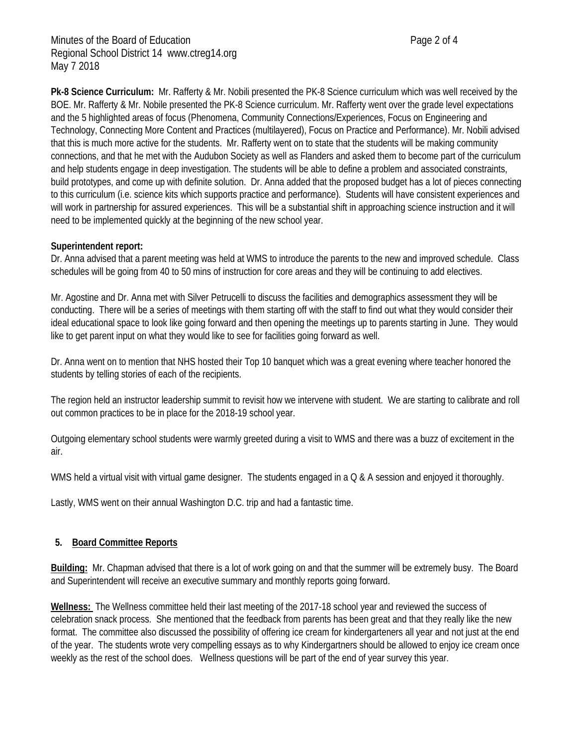**Pk-8 Science Curriculum:** Mr. Rafferty & Mr. Nobili presented the PK-8 Science curriculum which was well received by the BOE. Mr. Rafferty & Mr. Nobile presented the PK-8 Science curriculum. Mr. Rafferty went over the grade level expectations and the 5 highlighted areas of focus (Phenomena, Community Connections/Experiences, Focus on Engineering and Technology, Connecting More Content and Practices (multilayered), Focus on Practice and Performance). Mr. Nobili advised that this is much more active for the students. Mr. Rafferty went on to state that the students will be making community connections, and that he met with the Audubon Society as well as Flanders and asked them to become part of the curriculum and help students engage in deep investigation. The students will be able to define a problem and associated constraints, build prototypes, and come up with definite solution. Dr. Anna added that the proposed budget has a lot of pieces connecting to this curriculum (i.e. science kits which supports practice and performance). Students will have consistent experiences and will work in partnership for assured experiences. This will be a substantial shift in approaching science instruction and it will need to be implemented quickly at the beginning of the new school year.

# **Superintendent report:**

Dr. Anna advised that a parent meeting was held at WMS to introduce the parents to the new and improved schedule. Class schedules will be going from 40 to 50 mins of instruction for core areas and they will be continuing to add electives.

Mr. Agostine and Dr. Anna met with Silver Petrucelli to discuss the facilities and demographics assessment they will be conducting. There will be a series of meetings with them starting off with the staff to find out what they would consider their ideal educational space to look like going forward and then opening the meetings up to parents starting in June. They would like to get parent input on what they would like to see for facilities going forward as well.

Dr. Anna went on to mention that NHS hosted their Top 10 banquet which was a great evening where teacher honored the students by telling stories of each of the recipients.

The region held an instructor leadership summit to revisit how we intervene with student. We are starting to calibrate and roll out common practices to be in place for the 2018-19 school year.

Outgoing elementary school students were warmly greeted during a visit to WMS and there was a buzz of excitement in the air.

WMS held a virtual visit with virtual game designer. The students engaged in a Q & A session and enjoyed it thoroughly.

Lastly, WMS went on their annual Washington D.C. trip and had a fantastic time.

# **5. Board Committee Reports**

**Building:** Mr. Chapman advised that there is a lot of work going on and that the summer will be extremely busy. The Board and Superintendent will receive an executive summary and monthly reports going forward.

**Wellness:** The Wellness committee held their last meeting of the 2017-18 school year and reviewed the success of celebration snack process. She mentioned that the feedback from parents has been great and that they really like the new format. The committee also discussed the possibility of offering ice cream for kindergarteners all year and not just at the end of the year. The students wrote very compelling essays as to why Kindergartners should be allowed to enjoy ice cream once weekly as the rest of the school does. Wellness questions will be part of the end of year survey this year.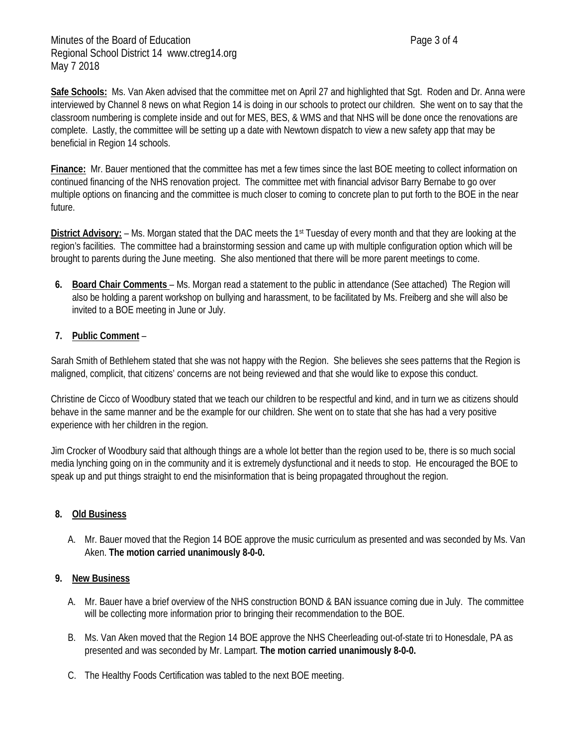**Safe Schools:** Ms. Van Aken advised that the committee met on April 27 and highlighted that Sgt. Roden and Dr. Anna were interviewed by Channel 8 news on what Region 14 is doing in our schools to protect our children. She went on to say that the classroom numbering is complete inside and out for MES, BES, & WMS and that NHS will be done once the renovations are complete. Lastly, the committee will be setting up a date with Newtown dispatch to view a new safety app that may be beneficial in Region 14 schools.

**Finance:** Mr. Bauer mentioned that the committee has met a few times since the last BOE meeting to collect information on continued financing of the NHS renovation project. The committee met with financial advisor Barry Bernabe to go over multiple options on financing and the committee is much closer to coming to concrete plan to put forth to the BOE in the near future.

**District Advisory:** – Ms. Morgan stated that the DAC meets the 1<sup>st</sup> Tuesday of every month and that they are looking at the region's facilities. The committee had a brainstorming session and came up with multiple configuration option which will be brought to parents during the June meeting. She also mentioned that there will be more parent meetings to come.

**6. Board Chair Comments** – Ms. Morgan read a statement to the public in attendance (See attached) The Region will also be holding a parent workshop on bullying and harassment, to be facilitated by Ms. Freiberg and she will also be invited to a BOE meeting in June or July.

# **7. Public Comment** –

Sarah Smith of Bethlehem stated that she was not happy with the Region. She believes she sees patterns that the Region is maligned, complicit, that citizens' concerns are not being reviewed and that she would like to expose this conduct.

Christine de Cicco of Woodbury stated that we teach our children to be respectful and kind, and in turn we as citizens should behave in the same manner and be the example for our children. She went on to state that she has had a very positive experience with her children in the region.

Jim Crocker of Woodbury said that although things are a whole lot better than the region used to be, there is so much social media lynching going on in the community and it is extremely dysfunctional and it needs to stop. He encouraged the BOE to speak up and put things straight to end the misinformation that is being propagated throughout the region.

# **8. Old Business**

A. Mr. Bauer moved that the Region 14 BOE approve the music curriculum as presented and was seconded by Ms. Van Aken. **The motion carried unanimously 8-0-0.**

# **9. New Business**

- A. Mr. Bauer have a brief overview of the NHS construction BOND & BAN issuance coming due in July. The committee will be collecting more information prior to bringing their recommendation to the BOE.
- B. Ms. Van Aken moved that the Region 14 BOE approve the NHS Cheerleading out-of-state tri to Honesdale, PA as presented and was seconded by Mr. Lampart. **The motion carried unanimously 8-0-0.**
- C. The Healthy Foods Certification was tabled to the next BOE meeting.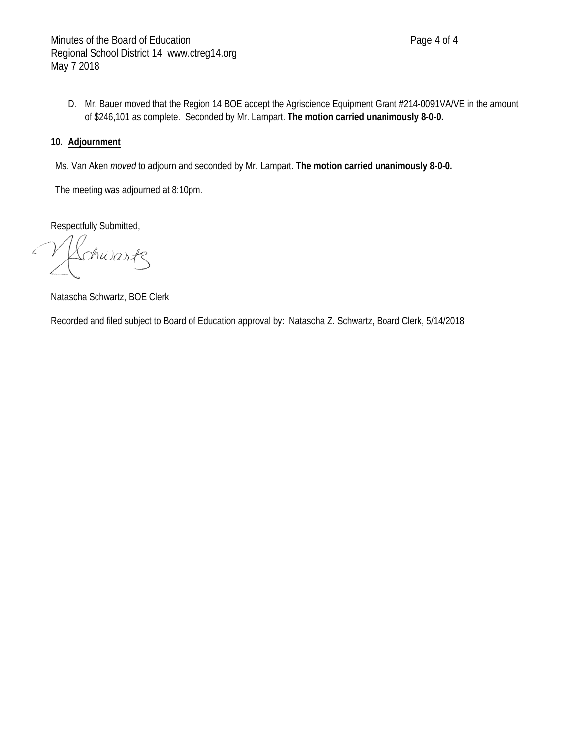D. Mr. Bauer moved that the Region 14 BOE accept the Agriscience Equipment Grant #214-0091VA/VE in the amount of \$246,101 as complete. Seconded by Mr. Lampart. **The motion carried unanimously 8-0-0.**

## **10. Adjournment**

Ms. Van Aken *moved* to adjourn and seconded by Mr. Lampart. **The motion carried unanimously 8-0-0.**

The meeting was adjourned at 8:10pm.

Respectfully Submitted,

 $\mathcal{L}$ chwartz

Natascha Schwartz, BOE Clerk

Recorded and filed subject to Board of Education approval by: Natascha Z. Schwartz, Board Clerk, 5/14/2018